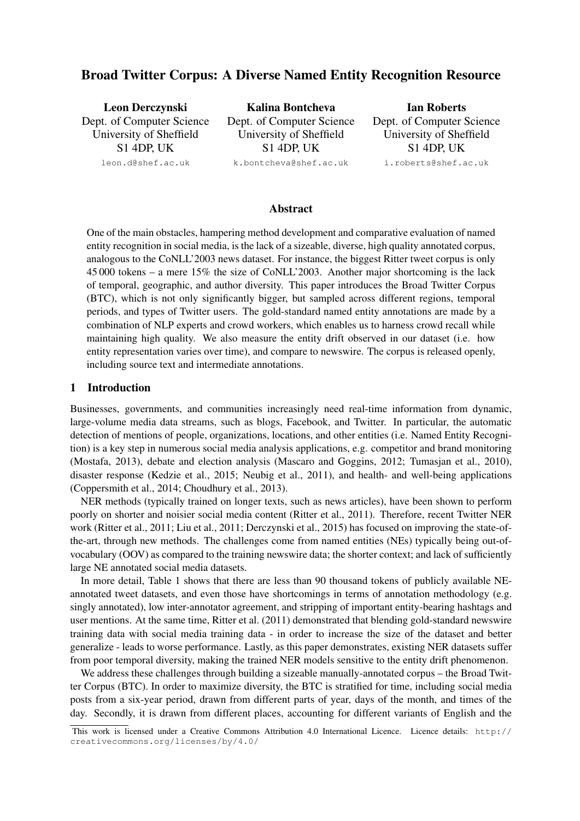# Broad Twitter Corpus: A Diverse Named Entity Recognition Resource

| Leon Derczynski           | Kalina Bontcheva          | <b>Ian Roberts</b>        |
|---------------------------|---------------------------|---------------------------|
| Dept. of Computer Science | Dept. of Computer Science | Dept. of Computer Science |
| University of Sheffield   | University of Sheffield   | University of Sheffield   |
| $S1$ 4DP, UK              | S <sub>1</sub> 4DP, UK    | <b>S1 4DP, UK</b>         |
| leon.d@shef.ac.uk         | k.bontcheva@shef.ac.uk    | i.roberts@shef.ac.uk      |
|                           |                           |                           |

#### Abstract

One of the main obstacles, hampering method development and comparative evaluation of named entity recognition in social media, is the lack of a sizeable, diverse, high quality annotated corpus, analogous to the CoNLL'2003 news dataset. For instance, the biggest Ritter tweet corpus is only 45 000 tokens – a mere 15% the size of CoNLL'2003. Another major shortcoming is the lack of temporal, geographic, and author diversity. This paper introduces the Broad Twitter Corpus (BTC), which is not only significantly bigger, but sampled across different regions, temporal periods, and types of Twitter users. The gold-standard named entity annotations are made by a combination of NLP experts and crowd workers, which enables us to harness crowd recall while maintaining high quality. We also measure the entity drift observed in our dataset (i.e. how entity representation varies over time), and compare to newswire. The corpus is released openly, including source text and intermediate annotations.

#### 1 Introduction

Businesses, governments, and communities increasingly need real-time information from dynamic, large-volume media data streams, such as blogs, Facebook, and Twitter. In particular, the automatic detection of mentions of people, organizations, locations, and other entities (i.e. Named Entity Recognition) is a key step in numerous social media analysis applications, e.g. competitor and brand monitoring (Mostafa, 2013), debate and election analysis (Mascaro and Goggins, 2012; Tumasjan et al., 2010), disaster response (Kedzie et al., 2015; Neubig et al., 2011), and health- and well-being applications (Coppersmith et al., 2014; Choudhury et al., 2013).

NER methods (typically trained on longer texts, such as news articles), have been shown to perform poorly on shorter and noisier social media content (Ritter et al., 2011). Therefore, recent Twitter NER work (Ritter et al., 2011; Liu et al., 2011; Derczynski et al., 2015) has focused on improving the state-ofthe-art, through new methods. The challenges come from named entities (NEs) typically being out-ofvocabulary (OOV) as compared to the training newswire data; the shorter context; and lack of sufficiently large NE annotated social media datasets.

In more detail, Table 1 shows that there are less than 90 thousand tokens of publicly available NEannotated tweet datasets, and even those have shortcomings in terms of annotation methodology (e.g. singly annotated), low inter-annotator agreement, and stripping of important entity-bearing hashtags and user mentions. At the same time, Ritter et al. (2011) demonstrated that blending gold-standard newswire training data with social media training data - in order to increase the size of the dataset and better generalize - leads to worse performance. Lastly, as this paper demonstrates, existing NER datasets suffer from poor temporal diversity, making the trained NER models sensitive to the entity drift phenomenon.

We address these challenges through building a sizeable manually-annotated corpus – the Broad Twitter Corpus (BTC). In order to maximize diversity, the BTC is stratified for time, including social media posts from a six-year period, drawn from different parts of year, days of the month, and times of the day. Secondly, it is drawn from different places, accounting for different variants of English and the

This work is licensed under a Creative Commons Attribution 4.0 International Licence. Licence details: http:// creativecommons.org/licenses/by/4.0/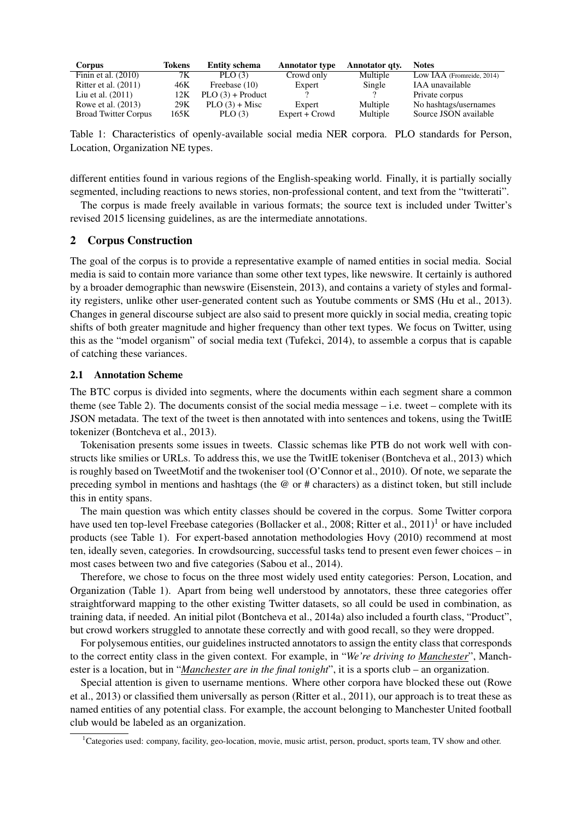| <b>Corpus</b>               | Tokens | <b>Entity schema</b> | <b>Annotator</b> type | Annotator qtv. | <b>Notes</b>              |
|-----------------------------|--------|----------------------|-----------------------|----------------|---------------------------|
| Finin et al. $(2010)$       | 7К     | PLO $(3)$            | Crowd only            | Multiple       | Low IAA (Fromreide, 2014) |
| Ritter et al. $(2011)$      | 46K    | Freebase (10)        | Expert                | Single         | IAA unavailable           |
| Liu et al. $(2011)$         | 12K    | $PLO(3) + Product$   |                       |                | Private corpus            |
| Rowe et al. (2013)          | 29K    | $PLO(3) + Misc$      | Expert                | Multiple       | No hashtags/usernames     |
| <b>Broad Twitter Corpus</b> | 165K   | PLO(3)               | Expert + Crowd        | Multiple       | Source JSON available     |

Table 1: Characteristics of openly-available social media NER corpora. PLO standards for Person, Location, Organization NE types.

different entities found in various regions of the English-speaking world. Finally, it is partially socially segmented, including reactions to news stories, non-professional content, and text from the "twitterati".

The corpus is made freely available in various formats; the source text is included under Twitter's revised 2015 licensing guidelines, as are the intermediate annotations.

### 2 Corpus Construction

The goal of the corpus is to provide a representative example of named entities in social media. Social media is said to contain more variance than some other text types, like newswire. It certainly is authored by a broader demographic than newswire (Eisenstein, 2013), and contains a variety of styles and formality registers, unlike other user-generated content such as Youtube comments or SMS (Hu et al., 2013). Changes in general discourse subject are also said to present more quickly in social media, creating topic shifts of both greater magnitude and higher frequency than other text types. We focus on Twitter, using this as the "model organism" of social media text (Tufekci, 2014), to assemble a corpus that is capable of catching these variances.

#### 2.1 Annotation Scheme

The BTC corpus is divided into segments, where the documents within each segment share a common theme (see Table 2). The documents consist of the social media message  $-$  i.e. tweet  $-$  complete with its JSON metadata. The text of the tweet is then annotated with into sentences and tokens, using the TwitIE tokenizer (Bontcheva et al., 2013).

Tokenisation presents some issues in tweets. Classic schemas like PTB do not work well with constructs like smilies or URLs. To address this, we use the TwitIE tokeniser (Bontcheva et al., 2013) which is roughly based on TweetMotif and the twokeniser tool (O'Connor et al., 2010). Of note, we separate the preceding symbol in mentions and hashtags (the @ or # characters) as a distinct token, but still include this in entity spans.

The main question was which entity classes should be covered in the corpus. Some Twitter corpora have used ten top-level Freebase categories (Bollacker et al., 2008; Ritter et al.,  $2011$ <sup>1</sup> or have included products (see Table 1). For expert-based annotation methodologies Hovy (2010) recommend at most ten, ideally seven, categories. In crowdsourcing, successful tasks tend to present even fewer choices – in most cases between two and five categories (Sabou et al., 2014).

Therefore, we chose to focus on the three most widely used entity categories: Person, Location, and Organization (Table 1). Apart from being well understood by annotators, these three categories offer straightforward mapping to the other existing Twitter datasets, so all could be used in combination, as training data, if needed. An initial pilot (Bontcheva et al., 2014a) also included a fourth class, "Product", but crowd workers struggled to annotate these correctly and with good recall, so they were dropped.

For polysemous entities, our guidelines instructed annotators to assign the entity class that corresponds to the correct entity class in the given context. For example, in "*We're driving to Manchester*", Manchester is a location, but in "*Manchester are in the final tonight*", it is a sports club – an organization.

Special attention is given to username mentions. Where other corpora have blocked these out (Rowe et al., 2013) or classified them universally as person (Ritter et al., 2011), our approach is to treat these as named entities of any potential class. For example, the account belonging to Manchester United football club would be labeled as an organization.

<sup>&</sup>lt;sup>1</sup>Categories used: company, facility, geo-location, movie, music artist, person, product, sports team, TV show and other.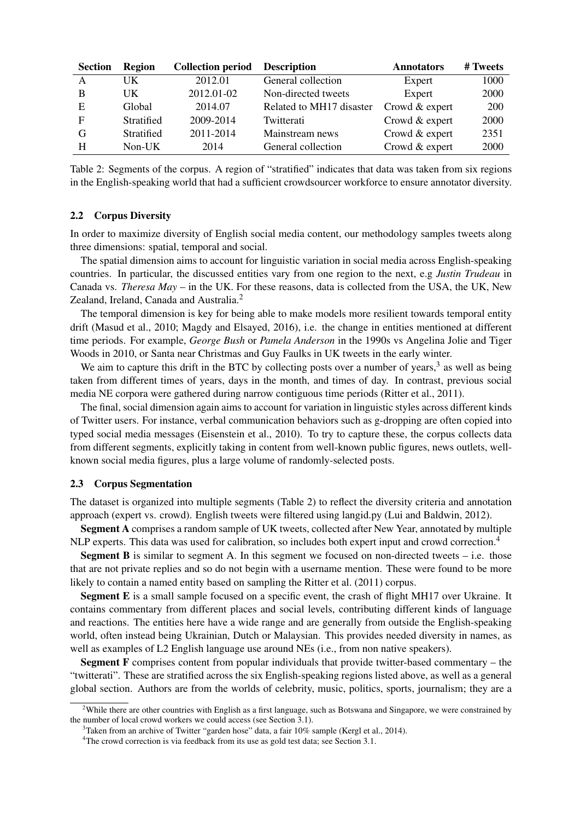| <b>Section</b> | Region     | <b>Collection period</b> | <b>Description</b>       | <b>Annotators</b> | # Tweets |
|----------------|------------|--------------------------|--------------------------|-------------------|----------|
| A              | UK         | 2012.01                  | General collection       | Expert            | 1000     |
| B              | UK         | 2012.01-02               | Non-directed tweets      | Expert            | 2000     |
| E              | Global     | 2014.07                  | Related to MH17 disaster | Crowd & expert    | 200      |
| F              | Stratified | 2009-2014                | Twitterati               | Crowd & expert    | 2000     |
| G              | Stratified | 2011-2014                | Mainstream news          | Crowd & expert    | 2351     |
| H              | $Non-UK$   | 2014                     | General collection       | Crowd & expert    | 2000     |

Table 2: Segments of the corpus. A region of "stratified" indicates that data was taken from six regions in the English-speaking world that had a sufficient crowdsourcer workforce to ensure annotator diversity.

#### 2.2 Corpus Diversity

In order to maximize diversity of English social media content, our methodology samples tweets along three dimensions: spatial, temporal and social.

The spatial dimension aims to account for linguistic variation in social media across English-speaking countries. In particular, the discussed entities vary from one region to the next, e.g *Justin Trudeau* in Canada vs. *Theresa May* – in the UK. For these reasons, data is collected from the USA, the UK, New Zealand, Ireland, Canada and Australia.<sup>2</sup>

The temporal dimension is key for being able to make models more resilient towards temporal entity drift (Masud et al., 2010; Magdy and Elsayed, 2016), i.e. the change in entities mentioned at different time periods. For example, *George Bush* or *Pamela Anderson* in the 1990s vs Angelina Jolie and Tiger Woods in 2010, or Santa near Christmas and Guy Faulks in UK tweets in the early winter.

We aim to capture this drift in the BTC by collecting posts over a number of years,<sup>3</sup> as well as being taken from different times of years, days in the month, and times of day. In contrast, previous social media NE corpora were gathered during narrow contiguous time periods (Ritter et al., 2011).

The final, social dimension again aims to account for variation in linguistic styles across different kinds of Twitter users. For instance, verbal communication behaviors such as g-dropping are often copied into typed social media messages (Eisenstein et al., 2010). To try to capture these, the corpus collects data from different segments, explicitly taking in content from well-known public figures, news outlets, wellknown social media figures, plus a large volume of randomly-selected posts.

#### 2.3 Corpus Segmentation

The dataset is organized into multiple segments (Table 2) to reflect the diversity criteria and annotation approach (expert vs. crowd). English tweets were filtered using langid.py (Lui and Baldwin, 2012).

Segment A comprises a random sample of UK tweets, collected after New Year, annotated by multiple NLP experts. This data was used for calibration, so includes both expert input and crowd correction.<sup>4</sup>

**Segment B** is similar to segment A. In this segment we focused on non-directed tweets  $-$  i.e. those that are not private replies and so do not begin with a username mention. These were found to be more likely to contain a named entity based on sampling the Ritter et al. (2011) corpus.

Segment E is a small sample focused on a specific event, the crash of flight MH17 over Ukraine. It contains commentary from different places and social levels, contributing different kinds of language and reactions. The entities here have a wide range and are generally from outside the English-speaking world, often instead being Ukrainian, Dutch or Malaysian. This provides needed diversity in names, as well as examples of L2 English language use around NEs (i.e., from non native speakers).

Segment F comprises content from popular individuals that provide twitter-based commentary – the "twitterati". These are stratified across the six English-speaking regions listed above, as well as a general global section. Authors are from the worlds of celebrity, music, politics, sports, journalism; they are a

<sup>&</sup>lt;sup>2</sup>While there are other countries with English as a first language, such as Botswana and Singapore, we were constrained by the number of local crowd workers we could access (see Section 3.1).

 $3$ Taken from an archive of Twitter "garden hose" data, a fair 10% sample (Kergl et al., 2014).

<sup>&</sup>lt;sup>4</sup>The crowd correction is via feedback from its use as gold test data; see Section 3.1.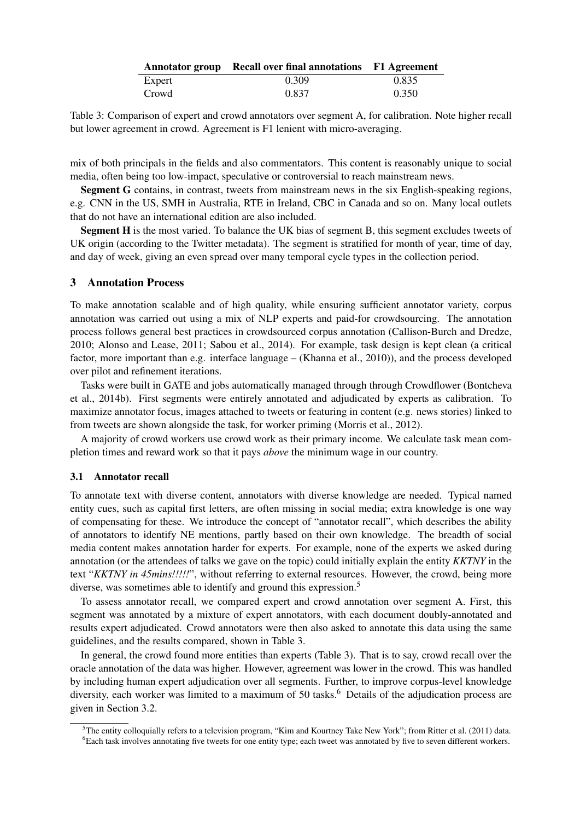|        | Annotator group Recall over final annotations F1 Agreement |       |
|--------|------------------------------------------------------------|-------|
| Expert | 0.309                                                      | 0.835 |
| Crowd  | 0.837                                                      | 0.350 |

Table 3: Comparison of expert and crowd annotators over segment A, for calibration. Note higher recall but lower agreement in crowd. Agreement is F1 lenient with micro-averaging.

mix of both principals in the fields and also commentators. This content is reasonably unique to social media, often being too low-impact, speculative or controversial to reach mainstream news.

Segment G contains, in contrast, tweets from mainstream news in the six English-speaking regions, e.g. CNN in the US, SMH in Australia, RTE in Ireland, CBC in Canada and so on. Many local outlets that do not have an international edition are also included.

Segment H is the most varied. To balance the UK bias of segment B, this segment excludes tweets of UK origin (according to the Twitter metadata). The segment is stratified for month of year, time of day, and day of week, giving an even spread over many temporal cycle types in the collection period.

### 3 Annotation Process

To make annotation scalable and of high quality, while ensuring sufficient annotator variety, corpus annotation was carried out using a mix of NLP experts and paid-for crowdsourcing. The annotation process follows general best practices in crowdsourced corpus annotation (Callison-Burch and Dredze, 2010; Alonso and Lease, 2011; Sabou et al., 2014). For example, task design is kept clean (a critical factor, more important than e.g. interface language – (Khanna et al., 2010)), and the process developed over pilot and refinement iterations.

Tasks were built in GATE and jobs automatically managed through through Crowdflower (Bontcheva et al., 2014b). First segments were entirely annotated and adjudicated by experts as calibration. To maximize annotator focus, images attached to tweets or featuring in content (e.g. news stories) linked to from tweets are shown alongside the task, for worker priming (Morris et al., 2012).

A majority of crowd workers use crowd work as their primary income. We calculate task mean completion times and reward work so that it pays *above* the minimum wage in our country.

#### 3.1 Annotator recall

To annotate text with diverse content, annotators with diverse knowledge are needed. Typical named entity cues, such as capital first letters, are often missing in social media; extra knowledge is one way of compensating for these. We introduce the concept of "annotator recall", which describes the ability of annotators to identify NE mentions, partly based on their own knowledge. The breadth of social media content makes annotation harder for experts. For example, none of the experts we asked during annotation (or the attendees of talks we gave on the topic) could initially explain the entity *KKTNY* in the text "*KKTNY in 45mins!!!!!*", without referring to external resources. However, the crowd, being more diverse, was sometimes able to identify and ground this expression.<sup>5</sup>

To assess annotator recall, we compared expert and crowd annotation over segment A. First, this segment was annotated by a mixture of expert annotators, with each document doubly-annotated and results expert adjudicated. Crowd annotators were then also asked to annotate this data using the same guidelines, and the results compared, shown in Table 3.

In general, the crowd found more entities than experts (Table 3). That is to say, crowd recall over the oracle annotation of the data was higher. However, agreement was lower in the crowd. This was handled by including human expert adjudication over all segments. Further, to improve corpus-level knowledge diversity, each worker was limited to a maximum of 50 tasks.<sup>6</sup> Details of the adjudication process are given in Section 3.2.

 $5$ The entity colloquially refers to a television program, "Kim and Kourtney Take New York"; from Ritter et al. (2011) data. <sup>6</sup>Each task involves annotating five tweets for one entity type; each tweet was annotated by five to seven different workers.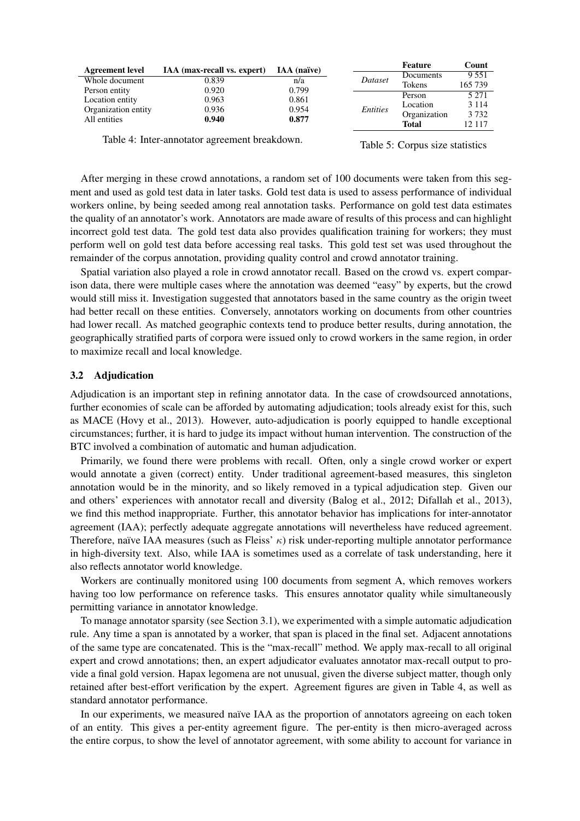| <b>Agreement level</b> | IAA (max-recall vs. expert) | <b>IAA</b> (naïve) |          | Feature      | Count   |
|------------------------|-----------------------------|--------------------|----------|--------------|---------|
|                        |                             |                    |          | Documents    | 9 5 5 1 |
| Whole document         | 0.839                       | n/a                | Dataset  | Tokens       | 165 739 |
| Person entity          | 0.920                       | 0.799              |          |              |         |
| Location entity        | 0.963                       | 0.861              |          | Person       | 5 2 7 1 |
|                        |                             |                    |          | Location     | 3 1 1 4 |
| Organization entity    | 0.936                       | 0.954              | Entities | Organization | 3 7 3 2 |
| All entities           | 0.940                       | 0.877              |          |              |         |
|                        |                             |                    |          | Total        | 12.117  |

Table 4: Inter-annotator agreement breakdown.

Table 5: Corpus size statistics

After merging in these crowd annotations, a random set of 100 documents were taken from this segment and used as gold test data in later tasks. Gold test data is used to assess performance of individual workers online, by being seeded among real annotation tasks. Performance on gold test data estimates the quality of an annotator's work. Annotators are made aware of results of this process and can highlight incorrect gold test data. The gold test data also provides qualification training for workers; they must perform well on gold test data before accessing real tasks. This gold test set was used throughout the remainder of the corpus annotation, providing quality control and crowd annotator training.

Spatial variation also played a role in crowd annotator recall. Based on the crowd vs. expert comparison data, there were multiple cases where the annotation was deemed "easy" by experts, but the crowd would still miss it. Investigation suggested that annotators based in the same country as the origin tweet had better recall on these entities. Conversely, annotators working on documents from other countries had lower recall. As matched geographic contexts tend to produce better results, during annotation, the geographically stratified parts of corpora were issued only to crowd workers in the same region, in order to maximize recall and local knowledge.

#### 3.2 Adjudication

Adjudication is an important step in refining annotator data. In the case of crowdsourced annotations, further economies of scale can be afforded by automating adjudication; tools already exist for this, such as MACE (Hovy et al., 2013). However, auto-adjudication is poorly equipped to handle exceptional circumstances; further, it is hard to judge its impact without human intervention. The construction of the BTC involved a combination of automatic and human adjudication.

Primarily, we found there were problems with recall. Often, only a single crowd worker or expert would annotate a given (correct) entity. Under traditional agreement-based measures, this singleton annotation would be in the minority, and so likely removed in a typical adjudication step. Given our and others' experiences with annotator recall and diversity (Balog et al., 2012; Difallah et al., 2013), we find this method inappropriate. Further, this annotator behavior has implications for inter-annotator agreement (IAA); perfectly adequate aggregate annotations will nevertheless have reduced agreement. Therefore, naïve IAA measures (such as Fleiss'  $\kappa$ ) risk under-reporting multiple annotator performance in high-diversity text. Also, while IAA is sometimes used as a correlate of task understanding, here it also reflects annotator world knowledge.

Workers are continually monitored using 100 documents from segment A, which removes workers having too low performance on reference tasks. This ensures annotator quality while simultaneously permitting variance in annotator knowledge.

To manage annotator sparsity (see Section 3.1), we experimented with a simple automatic adjudication rule. Any time a span is annotated by a worker, that span is placed in the final set. Adjacent annotations of the same type are concatenated. This is the "max-recall" method. We apply max-recall to all original expert and crowd annotations; then, an expert adjudicator evaluates annotator max-recall output to provide a final gold version. Hapax legomena are not unusual, given the diverse subject matter, though only retained after best-effort verification by the expert. Agreement figures are given in Table 4, as well as standard annotator performance.

In our experiments, we measured naïve IAA as the proportion of annotators agreeing on each token of an entity. This gives a per-entity agreement figure. The per-entity is then micro-averaged across the entire corpus, to show the level of annotator agreement, with some ability to account for variance in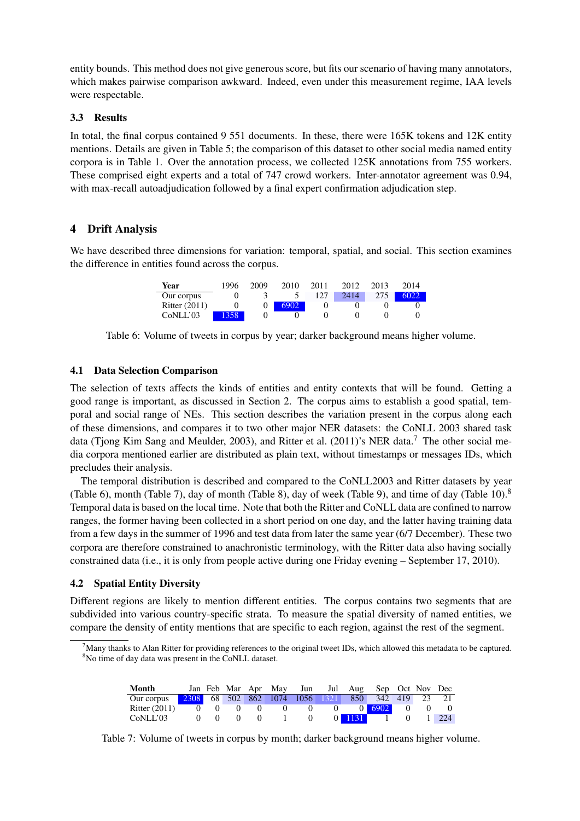entity bounds. This method does not give generous score, but fits our scenario of having many annotators, which makes pairwise comparison awkward. Indeed, even under this measurement regime, IAA levels were respectable.

### 3.3 Results

In total, the final corpus contained 9 551 documents. In these, there were 165K tokens and 12K entity mentions. Details are given in Table 5; the comparison of this dataset to other social media named entity corpora is in Table 1. Over the annotation process, we collected 125K annotations from 755 workers. These comprised eight experts and a total of 747 crowd workers. Inter-annotator agreement was 0.94, with max-recall autoadjudication followed by a final expert confirmation adjudication step.

# 4 Drift Analysis

We have described three dimensions for variation: temporal, spatial, and social. This section examines the difference in entities found across the corpus.

| Year            | 1996 | 2009 | 2010 | 2011 | 2012 | 2013 | 2014 |
|-----------------|------|------|------|------|------|------|------|
| Our corpus      |      |      |      | 127  | 2414 | 275  |      |
| Ritter $(2011)$ |      |      | 6902 |      |      |      |      |
| CoNLL'03        | 358  |      |      |      |      |      |      |

Table 6: Volume of tweets in corpus by year; darker background means higher volume.

### 4.1 Data Selection Comparison

The selection of texts affects the kinds of entities and entity contexts that will be found. Getting a good range is important, as discussed in Section 2. The corpus aims to establish a good spatial, temporal and social range of NEs. This section describes the variation present in the corpus along each of these dimensions, and compares it to two other major NER datasets: the CoNLL 2003 shared task data (Tjong Kim Sang and Meulder, 2003), and Ritter et al. (2011)'s NER data.<sup>7</sup> The other social media corpora mentioned earlier are distributed as plain text, without timestamps or messages IDs, which precludes their analysis.

The temporal distribution is described and compared to the CoNLL2003 and Ritter datasets by year (Table 6), month (Table 7), day of month (Table 8), day of week (Table 9), and time of day (Table 10). $8$ Temporal data is based on the local time. Note that both the Ritter and CoNLL data are confined to narrow ranges, the former having been collected in a short period on one day, and the latter having training data from a few days in the summer of 1996 and test data from later the same year (6/7 December). These two corpora are therefore constrained to anachronistic terminology, with the Ritter data also having socially constrained data (i.e., it is only from people active during one Friday evening – September 17, 2010).

### 4.2 Spatial Entity Diversity

Different regions are likely to mention different entities. The corpus contains two segments that are subdivided into various country-specific strata. To measure the spatial diversity of named entities, we compare the density of entity mentions that are specific to each region, against the rest of the segment.

 $^7$ Many thanks to Alan Ritter for providing references to the original tweet IDs, which allowed this metadata to be captured. <sup>8</sup>No time of day data was present in the CoNLL dataset.

| Month           |           |  | Jan Feb Mar Apr May |   |                | Jun Jul Aug Sep Oct Nov Dec                      |  |            |
|-----------------|-----------|--|---------------------|---|----------------|--------------------------------------------------|--|------------|
| Our corpus      |           |  |                     |   |                | 2308 68 502 862 1074 1056 1321 850 342 419 23 21 |  |            |
| Ritter $(2011)$ | $\bigcup$ |  | $\theta$            | 0 | $\overline{0}$ | 6902                                             |  | $\bigcirc$ |
| CoNLL'03        |           |  |                     |   | 1131           |                                                  |  | 224        |

Table 7: Volume of tweets in corpus by month; darker background means higher volume.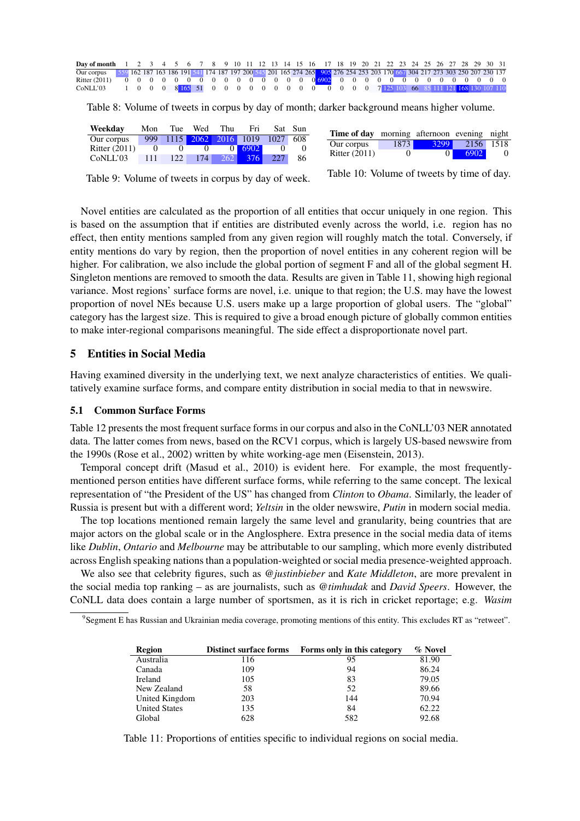| <b>Day of month</b> 1 2 3 4 5 6 7 8 9 10 11 12 13 14 15 16 17 18 19 20 21 22 23 24 25 26 27 28 29 30 31                                |  |  |  |  |  |  |  |  |  |  |  |  |  |  |  |  |
|----------------------------------------------------------------------------------------------------------------------------------------|--|--|--|--|--|--|--|--|--|--|--|--|--|--|--|--|
| Our corpus 559 162 187 163 186 191 541 174 187 197 200 545 201 165 274 265 905 276 254 253 203 170 667 304 217 273 303 250 207 230 137 |  |  |  |  |  |  |  |  |  |  |  |  |  |  |  |  |
|                                                                                                                                        |  |  |  |  |  |  |  |  |  |  |  |  |  |  |  |  |
| CONLL'03 1 0 0 0 8 $\frac{165}{165}$ 51 0 0 0 0 0 0 0 0 0 0 0 0 0 0 0 7 125 103 66 85 111 121 168 130 107 110                          |  |  |  |  |  |  |  |  |  |  |  |  |  |  |  |  |

Table 8: Volume of tweets in corpus by day of month; darker background means higher volume.

| Weekday         | Mon | Tue           | Wed                 | Thu      | Fri  |          | Sat Sun |
|-----------------|-----|---------------|---------------------|----------|------|----------|---------|
| Our corpus      | 999 |               | 1115 2062 2016 1019 |          |      | 1027 608 |         |
| Ritter $(2011)$ |     |               |                     | $\Omega$ | 6902 |          |         |
| CoNLL'03        | 111 | $122^{\circ}$ | 174                 | $262$    | 376  | 227      | 86      |

| <b>Time of day</b> morning afternoon evening night |          |           |           |          |
|----------------------------------------------------|----------|-----------|-----------|----------|
| Our corpus                                         |          | 1873 3299 | 2156 1518 |          |
| <b>Ritter</b> (2011)                               | $\theta$ | $\Omega$  | 6902      | $\Omega$ |

Table 9: Volume of tweets in corpus by day of week.

Table 10: Volume of tweets by time of day.

Novel entities are calculated as the proportion of all entities that occur uniquely in one region. This is based on the assumption that if entities are distributed evenly across the world, i.e. region has no effect, then entity mentions sampled from any given region will roughly match the total. Conversely, if entity mentions do vary by region, then the proportion of novel entities in any coherent region will be higher. For calibration, we also include the global portion of segment F and all of the global segment H. Singleton mentions are removed to smooth the data. Results are given in Table 11, showing high regional variance. Most regions' surface forms are novel, i.e. unique to that region; the U.S. may have the lowest proportion of novel NEs because U.S. users make up a large proportion of global users. The "global" category has the largest size. This is required to give a broad enough picture of globally common entities to make inter-regional comparisons meaningful. The side effect a disproportionate novel part.

### 5 Entities in Social Media

Having examined diversity in the underlying text, we next analyze characteristics of entities. We qualitatively examine surface forms, and compare entity distribution in social media to that in newswire.

#### 5.1 Common Surface Forms

Table 12 presents the most frequent surface forms in our corpus and also in the CoNLL'03 NER annotated data. The latter comes from news, based on the RCV1 corpus, which is largely US-based newswire from the 1990s (Rose et al., 2002) written by white working-age men (Eisenstein, 2013).

Temporal concept drift (Masud et al., 2010) is evident here. For example, the most frequentlymentioned person entities have different surface forms, while referring to the same concept. The lexical representation of "the President of the US" has changed from *Clinton* to *Obama*. Similarly, the leader of Russia is present but with a different word; *Yeltsin* in the older newswire, *Putin* in modern social media.

The top locations mentioned remain largely the same level and granularity, being countries that are major actors on the global scale or in the Anglosphere. Extra presence in the social media data of items like *Dublin*, *Ontario* and *Melbourne* may be attributable to our sampling, which more evenly distributed across English speaking nations than a population-weighted or social media presence-weighted approach.

We also see that celebrity figures, such as *@justinbieber* and *Kate Middleton*, are more prevalent in the social media top ranking – as are journalists, such as *@timhudak* and *David Speers*. However, the CoNLL data does contain a large number of sportsmen, as it is rich in cricket reportage; e.g. *Wasim*

9 Segment E has Russian and Ukrainian media coverage, promoting mentions of this entity. This excludes RT as "retweet".

| Region               | <b>Distinct surface forms</b> | Forms only in this category | % Novel |
|----------------------|-------------------------------|-----------------------------|---------|
| Australia            | 116                           | 95                          | 81.90   |
| Canada               | 109                           | 94                          | 86.24   |
| Ireland              | 105                           | 83                          | 79.05   |
| New Zealand          | 58                            | 52                          | 89.66   |
| United Kingdom       | 203                           | 144                         | 70.94   |
| <b>United States</b> | 135                           | 84                          | 62.22   |
| Global               | 628                           | 582                         | 92.68   |

Table 11: Proportions of entities specific to individual regions on social media.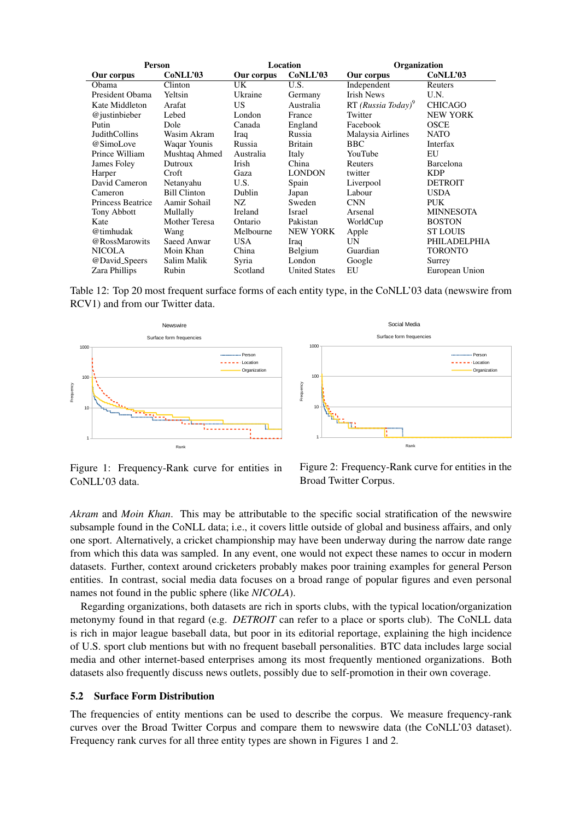| <b>Person</b>            |                     |            | Location             | Organization         |                  |  |  |  |
|--------------------------|---------------------|------------|----------------------|----------------------|------------------|--|--|--|
| Our corpus               | CoNLL'03            | Our corpus | CoNLL'03             | Our corpus           | CoNLL'03         |  |  |  |
| Obama                    | Clinton             | UK         | U.S.                 | Independent          | Reuters          |  |  |  |
| President Obama          | Yeltsin             | Ukraine    | Germany              | <b>Irish News</b>    | U.N.             |  |  |  |
| Kate Middleton           | Arafat              | US.        | Australia            | $RT(Russia Today)^9$ | <b>CHICAGO</b>   |  |  |  |
| @justinbieber            | Lebed               | London     | France               | Twitter              | <b>NEW YORK</b>  |  |  |  |
| Putin                    | Dole                | Canada     | England              | Facebook             | <b>OSCE</b>      |  |  |  |
| <b>JudithCollins</b>     | Wasim Akram         | Iraq       | Russia               | Malaysia Airlines    | <b>NATO</b>      |  |  |  |
| @SimoLove                | Waqar Younis        | Russia     | <b>Britain</b>       | <b>BBC</b>           | Interfax         |  |  |  |
| Prince William           | Mushtaq Ahmed       | Australia  | Italy                | YouTube              | EU               |  |  |  |
| James Foley              | Dutroux             | Irish      | China                | Reuters              | Barcelona        |  |  |  |
| Harper                   | Croft               | Gaza       | <b>LONDON</b>        | twitter              | <b>KDP</b>       |  |  |  |
| David Cameron            | Netanyahu           | U.S.       | Spain                | Liverpool            | <b>DETROIT</b>   |  |  |  |
| Cameron                  | <b>Bill Clinton</b> | Dublin     | Japan                | Labour               | <b>USDA</b>      |  |  |  |
| <b>Princess Beatrice</b> | Aamir Sohail        | NZ.        | Sweden               | <b>CNN</b>           | PUK.             |  |  |  |
| Tony Abbott              | Mullally            | Ireland    | Israel               | Arsenal              | <b>MINNESOTA</b> |  |  |  |
| Kate                     | Mother Teresa       | Ontario    | Pakistan             | WorldCup             | <b>BOSTON</b>    |  |  |  |
| @timhudak                | Wang                | Melbourne  | <b>NEW YORK</b>      | Apple                | <b>ST LOUIS</b>  |  |  |  |
| @RossMarowits            | Saeed Anwar         | <b>USA</b> | Iraq                 | UN                   | PHILADELPHIA     |  |  |  |
| <b>NICOLA</b>            | Moin Khan           | China      | Belgium              | Guardian             | <b>TORONTO</b>   |  |  |  |
| @David_Speers            | Salim Malik         | Syria      | London               | Google               | Surrey           |  |  |  |
| Zara Phillips            | Rubin               | Scotland   | <b>United States</b> | EU                   | European Union   |  |  |  |

Table 12: Top 20 most frequent surface forms of each entity type, in the CoNLL'03 data (newswire from RCV1) and from our Twitter data.



Figure 1: Frequency-Rank curve for entities in CoNLL'03 data.



*Akram* and *Moin Khan*. This may be attributable to the specific social stratification of the newswire subsample found in the CoNLL data; i.e., it covers little outside of global and business affairs, and only one sport. Alternatively, a cricket championship may have been underway during the narrow date range from which this data was sampled. In any event, one would not expect these names to occur in modern datasets. Further, context around cricketers probably makes poor training examples for general Person entities. In contrast, social media data focuses on a broad range of popular figures and even personal names not found in the public sphere (like *NICOLA*).

Regarding organizations, both datasets are rich in sports clubs, with the typical location/organization metonymy found in that regard (e.g. *DETROIT* can refer to a place or sports club). The CoNLL data is rich in major league baseball data, but poor in its editorial reportage, explaining the high incidence of U.S. sport club mentions but with no frequent baseball personalities. BTC data includes large social media and other internet-based enterprises among its most frequently mentioned organizations. Both datasets also frequently discuss news outlets, possibly due to self-promotion in their own coverage.

#### 5.2 Surface Form Distribution

The frequencies of entity mentions can be used to describe the corpus. We measure frequency-rank curves over the Broad Twitter Corpus and compare them to newswire data (the CoNLL'03 dataset). Frequency rank curves for all three entity types are shown in Figures 1 and 2.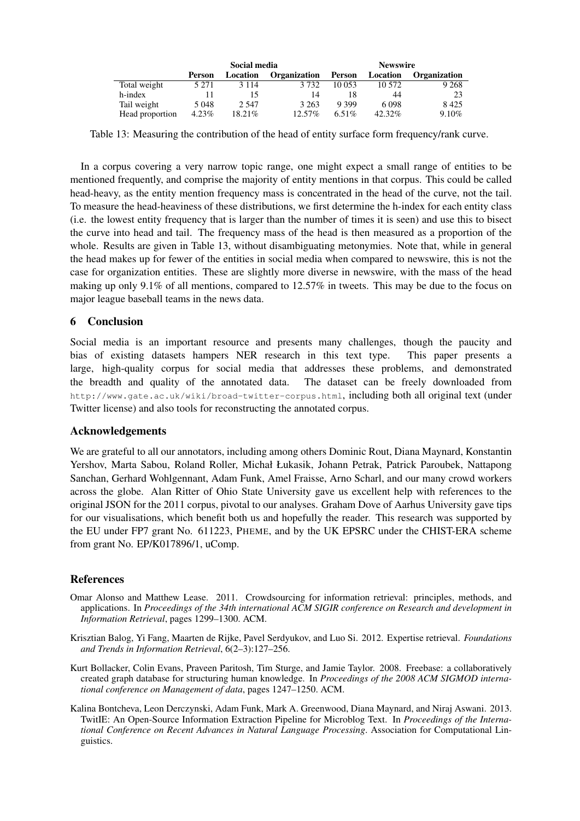|                 | Social media |          |                     | <b>Newswire</b> |          |                     |
|-----------------|--------------|----------|---------------------|-----------------|----------|---------------------|
|                 | Person       | Location | <b>Organization</b> | Person          | Location | <b>Organization</b> |
| Total weight    | 5 2 7 1      | 3 1 1 4  | 3.732               | 10 053          | 10.572   | 9 2 6 8             |
| h-index         |              |          | 14                  |                 | 44       | 23                  |
| Tail weight     | 5 0 4 8      | 2.547    | 3 2 6 3             | 9 3 9 9         | 6 0 9 8  | 8425                |
| Head proportion | $4.23\%$     | 18.21%   | $12.57\%$           | 6.51\%          | 42.32%   | 9.10%               |

Table 13: Measuring the contribution of the head of entity surface form frequency/rank curve.

In a corpus covering a very narrow topic range, one might expect a small range of entities to be mentioned frequently, and comprise the majority of entity mentions in that corpus. This could be called head-heavy, as the entity mention frequency mass is concentrated in the head of the curve, not the tail. To measure the head-heaviness of these distributions, we first determine the h-index for each entity class (i.e. the lowest entity frequency that is larger than the number of times it is seen) and use this to bisect the curve into head and tail. The frequency mass of the head is then measured as a proportion of the whole. Results are given in Table 13, without disambiguating metonymies. Note that, while in general the head makes up for fewer of the entities in social media when compared to newswire, this is not the case for organization entities. These are slightly more diverse in newswire, with the mass of the head making up only 9.1% of all mentions, compared to 12.57% in tweets. This may be due to the focus on major league baseball teams in the news data.

# 6 Conclusion

Social media is an important resource and presents many challenges, though the paucity and bias of existing datasets hampers NER research in this text type. This paper presents a large, high-quality corpus for social media that addresses these problems, and demonstrated the breadth and quality of the annotated data. The dataset can be freely downloaded from http://www.gate.ac.uk/wiki/broad-twitter-corpus.html, including both all original text (under Twitter license) and also tools for reconstructing the annotated corpus.

### Acknowledgements

We are grateful to all our annotators, including among others Dominic Rout, Diana Maynard, Konstantin Yershov, Marta Sabou, Roland Roller, Michał Łukasik, Johann Petrak, Patrick Paroubek, Nattapong Sanchan, Gerhard Wohlgennant, Adam Funk, Amel Fraisse, Arno Scharl, and our many crowd workers across the globe. Alan Ritter of Ohio State University gave us excellent help with references to the original JSON for the 2011 corpus, pivotal to our analyses. Graham Dove of Aarhus University gave tips for our visualisations, which benefit both us and hopefully the reader. This research was supported by the EU under FP7 grant No. 611223, PHEME, and by the UK EPSRC under the CHIST-ERA scheme from grant No. EP/K017896/1, uComp.

### References

- Omar Alonso and Matthew Lease. 2011. Crowdsourcing for information retrieval: principles, methods, and applications. In *Proceedings of the 34th international ACM SIGIR conference on Research and development in Information Retrieval*, pages 1299–1300. ACM.
- Krisztian Balog, Yi Fang, Maarten de Rijke, Pavel Serdyukov, and Luo Si. 2012. Expertise retrieval. *Foundations and Trends in Information Retrieval*, 6(2–3):127–256.
- Kurt Bollacker, Colin Evans, Praveen Paritosh, Tim Sturge, and Jamie Taylor. 2008. Freebase: a collaboratively created graph database for structuring human knowledge. In *Proceedings of the 2008 ACM SIGMOD international conference on Management of data*, pages 1247–1250. ACM.
- Kalina Bontcheva, Leon Derczynski, Adam Funk, Mark A. Greenwood, Diana Maynard, and Niraj Aswani. 2013. TwitIE: An Open-Source Information Extraction Pipeline for Microblog Text. In *Proceedings of the International Conference on Recent Advances in Natural Language Processing*. Association for Computational Linguistics.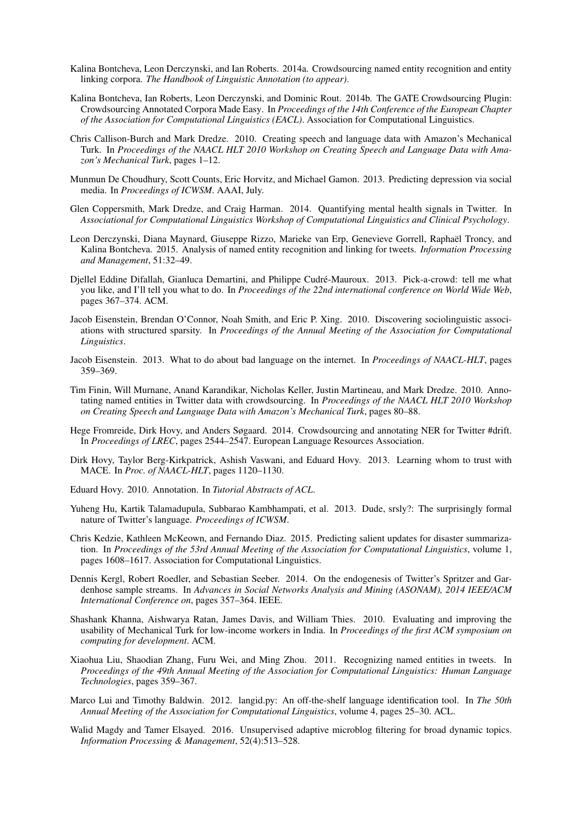- Kalina Bontcheva, Leon Derczynski, and Ian Roberts. 2014a. Crowdsourcing named entity recognition and entity linking corpora. *The Handbook of Linguistic Annotation (to appear)*.
- Kalina Bontcheva, Ian Roberts, Leon Derczynski, and Dominic Rout. 2014b. The GATE Crowdsourcing Plugin: Crowdsourcing Annotated Corpora Made Easy. In *Proceedings of the 14th Conference of the European Chapter of the Association for Computational Linguistics (EACL)*. Association for Computational Linguistics.
- Chris Callison-Burch and Mark Dredze. 2010. Creating speech and language data with Amazon's Mechanical Turk. In *Proceedings of the NAACL HLT 2010 Workshop on Creating Speech and Language Data with Amazon's Mechanical Turk*, pages 1–12.
- Munmun De Choudhury, Scott Counts, Eric Horvitz, and Michael Gamon. 2013. Predicting depression via social media. In *Proceedings of ICWSM*. AAAI, July.
- Glen Coppersmith, Mark Dredze, and Craig Harman. 2014. Quantifying mental health signals in Twitter. In *Associational for Computational Linguistics Workshop of Computational Linguistics and Clinical Psychology*.
- Leon Derczynski, Diana Maynard, Giuseppe Rizzo, Marieke van Erp, Genevieve Gorrell, Raphael Troncy, and ¨ Kalina Bontcheva. 2015. Analysis of named entity recognition and linking for tweets. *Information Processing and Management*, 51:32–49.
- Diellel Eddine Difallah, Gianluca Demartini, and Philippe Cudré-Mauroux. 2013. Pick-a-crowd: tell me what you like, and I'll tell you what to do. In *Proceedings of the 22nd international conference on World Wide Web*, pages 367–374. ACM.
- Jacob Eisenstein, Brendan O'Connor, Noah Smith, and Eric P. Xing. 2010. Discovering sociolinguistic associations with structured sparsity. In *Proceedings of the Annual Meeting of the Association for Computational Linguistics*.
- Jacob Eisenstein. 2013. What to do about bad language on the internet. In *Proceedings of NAACL-HLT*, pages 359–369.
- Tim Finin, Will Murnane, Anand Karandikar, Nicholas Keller, Justin Martineau, and Mark Dredze. 2010. Annotating named entities in Twitter data with crowdsourcing. In *Proceedings of the NAACL HLT 2010 Workshop on Creating Speech and Language Data with Amazon's Mechanical Turk*, pages 80–88.
- Hege Fromreide, Dirk Hovy, and Anders Søgaard. 2014. Crowdsourcing and annotating NER for Twitter #drift. In *Proceedings of LREC*, pages 2544–2547. European Language Resources Association.
- Dirk Hovy, Taylor Berg-Kirkpatrick, Ashish Vaswani, and Eduard Hovy. 2013. Learning whom to trust with MACE. In *Proc. of NAACL-HLT*, pages 1120–1130.
- Eduard Hovy. 2010. Annotation. In *Tutorial Abstracts of ACL*.
- Yuheng Hu, Kartik Talamadupula, Subbarao Kambhampati, et al. 2013. Dude, srsly?: The surprisingly formal nature of Twitter's language. *Proceedings of ICWSM*.
- Chris Kedzie, Kathleen McKeown, and Fernando Diaz. 2015. Predicting salient updates for disaster summarization. In *Proceedings of the 53rd Annual Meeting of the Association for Computational Linguistics*, volume 1, pages 1608–1617. Association for Computational Linguistics.
- Dennis Kergl, Robert Roedler, and Sebastian Seeber. 2014. On the endogenesis of Twitter's Spritzer and Gardenhose sample streams. In *Advances in Social Networks Analysis and Mining (ASONAM), 2014 IEEE/ACM International Conference on*, pages 357–364. IEEE.
- Shashank Khanna, Aishwarya Ratan, James Davis, and William Thies. 2010. Evaluating and improving the usability of Mechanical Turk for low-income workers in India. In *Proceedings of the first ACM symposium on computing for development*. ACM.
- Xiaohua Liu, Shaodian Zhang, Furu Wei, and Ming Zhou. 2011. Recognizing named entities in tweets. In *Proceedings of the 49th Annual Meeting of the Association for Computational Linguistics: Human Language Technologies*, pages 359–367.
- Marco Lui and Timothy Baldwin. 2012. langid.py: An off-the-shelf language identification tool. In *The 50th Annual Meeting of the Association for Computational Linguistics*, volume 4, pages 25–30. ACL.
- Walid Magdy and Tamer Elsayed. 2016. Unsupervised adaptive microblog filtering for broad dynamic topics. *Information Processing & Management*, 52(4):513–528.